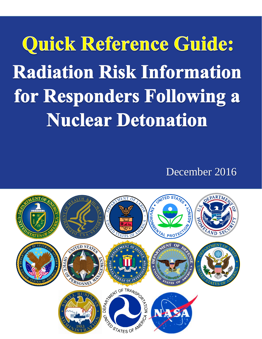Quick Reference Guide: **Radiation Risk Information** for Responders Following a **Nuclear Detonation** 

December 2016

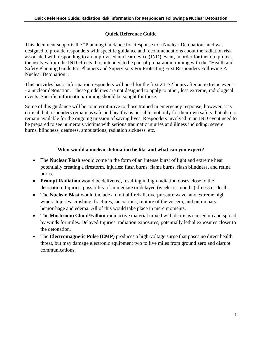## **Quick Reference Guide**

This document supports the "Planning Guidance for Response to a Nuclear Detonation" and was designed to provide responders with specific guidance and recommendations about the radiation risk associated with responding to an improvised nuclear device (IND) event, in order for them to protect themselves from the IND effects. It is intended to be part of preparation training with the "Health and Safety Planning Guide For Planners and Supervisors For Protecting First Responders Following A Nuclear Detonation".

This provides basic information responders will need for the first 24 -72 hours after an extreme event - - a nuclear detonation. These guidelines are not designed to apply to other, less extreme, radiological events. Specific information/training should be sought for those.

Some of this guidance will be counterintuitive to those trained in emergency response; however, it is critical that responders remain as safe and healthy as possible, not only for their own safety, but also to remain available for the ongoing mission of saving lives. Responders involved in an IND event need to be prepared to see numerous victims with serious traumatic injuries and illness including: severe burns, blindness, deafness, amputations, radiation sickness, etc.

### **What would a nuclear detonation be like and what can you expect?**

- The **Nuclear Flash** would come in the form of an intense burst of light and extreme heat potentially creating a firestorm. Injuries: flash burns, flame burns, flash blindness, and retina burns.
- **Prompt Radiation** would be delivered, resulting in high radiation doses close to the detonation. Injuries: possibility of immediate or delayed (weeks or months) illness or death.
- The **Nuclear Blast** would include an initial fireball, overpressure wave, and extreme high winds. Injuries: crushing, fractures, lacerations, rupture of the viscera, and pulmonary hemorrhage and edema. All of this would take place in mere moments.
- The **Mushroom Cloud/Fallout** radioactive material mixed with debris is carried up and spread by winds for miles. Delayed Injuries: radiation exposures, potentially lethal exposures closer to the detonation.
- The **Electromagnetic Pulse (EMP)** produces a high-voltage surge that poses no direct health threat, but may damage electronic equipment two to five miles from ground zero and disrupt communications.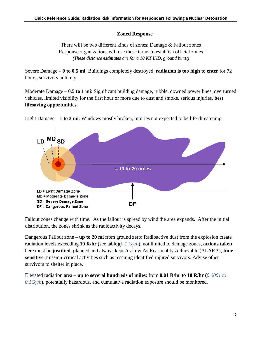#### **Zoned Response**

There will be two different kinds of zones: Damage & Fallout zones Response organizations will use these terms to establish official zones *(These distance estimates are for a 10 KT IND, ground burst)*

Severe Damage – **0 to 0.5 mi**: Buildings completely destroyed, **radiation is too high to enter** for 72 hours, survivors unlikely

Moderate Damage – **0.5 to 1 mi**: Significant building damage, rubble, downed power lines, overturned vehicles, limited visibility for the first hour or more due to dust and smoke, serious injuries, **best lifesaving opportunities**.



Light Damage – **1 to 3 mi**: Windows mostly broken, injuries not expected to be life-threatening

Fallout zones change with time. As the fallout is spread by wind the area expands. After the initial distribution, the zones shrink as the radioactivity decays.

Dangerous Fallout zone – **up to 20 mi** from ground zero: Radioactive dust from the explosion create radiation levels exceeding **10 R/hr** (see table)(*0.1 Gy/h*), not limited to damage zones, **actions taken** here must be **justified**, planned and always kept As Low As Reasonably Achievable (ALARA); **timesensitive**, mission-critical activities such as rescuing identified injured survivors. Advise other survivors to shelter in place.

Elevated radiation area – **up to several hundreds of miles**: from **0.01 R/hr to 10 R/hr (***0.0001 to 0.1Gy/h***)**, potentially hazardous, and cumulative radiation exposure should be monitored.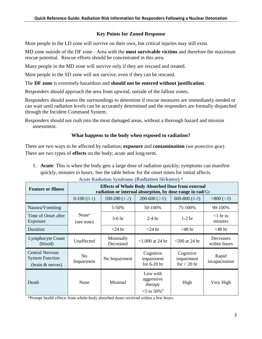### **Key Points for Zoned Response**

Most people in the LD zone will survive on their own, but critical injuries may still exist.

MD zone outside of the DF zone - Area with the **most survivable victims** and therefore the maximum rescue potential. Rescue efforts should be concentrated in this area.

Many people in the MD zone will survive only if they are rescued and treated.

Most people in the SD zone will not survive, even if they can be rescued.

The **DF zone** is extremely hazardous and **should not be entered without justification**.

Responders should approach the area from upwind, outside of the fallout zones.

Responders should assess the surroundings to determine if rescue measures are immediately needed or can wait until radiation levels can be accurately determined and the responders are formally dispatched through the Incident Command System.

Responders should not rush into the most damaged areas, without a thorough hazard and mission assessment.

### **What happens to the body when exposed to radiation?**

There are two ways to be affected by radiation; **exposure** and **contamination** (see protective gear) There are two types of **effects** on the body; acute and long-term.

1. **Acute**: This is when the body gets a large dose of radiation quickly; symptoms can manifest quickly, minutes to hours. See the table below for the onset times for initial affects.

| <b>Feature or Illness</b>                                            | <b>Effects of Whole Body Absorbed Dose from external</b><br>radiation or internal absorption, by dose range in rad/ $Gy$ |                        |                                                                |                                          |                           |
|----------------------------------------------------------------------|--------------------------------------------------------------------------------------------------------------------------|------------------------|----------------------------------------------------------------|------------------------------------------|---------------------------|
|                                                                      | $0-100(0-1)$                                                                                                             | $100-200$ $(1-2)$      | $200-600(2-6)$                                                 | 600-800 $(6-8)$                          | >800 (>8)                 |
| Nausea/Vomiting                                                      |                                                                                                                          | 5-50%                  | 50-100%                                                        | 75-100%                                  | 90-100%                   |
| Time of Onset after<br>Exposure                                      | None <sup>a</sup><br>(see note)                                                                                          | $3-6$ hr               | $2-4$ hr                                                       | $1-2$ hr                                 | $<$ 1 hr to<br>minutes    |
| Duration                                                             |                                                                                                                          | $<$ 24 hr              | $<$ 24 hr                                                      | $<$ 48 hr                                | $<$ 48 hr                 |
| Lymphocyte Count<br>(blood)                                          | Unaffected                                                                                                               | Minimally<br>Decreased | $<$ 1,000 at 24 hr                                             | $<$ 500 at 24 hr                         | Decreases<br>within hours |
| <b>Central Nervous</b><br><b>System Function</b><br>(brain & nerves) | N <sub>0</sub><br>Impairment                                                                                             | No Impairment          | Cognitive<br>impairment<br>for $6-20$ hr                       | Cognitive<br>impairment<br>for $> 20$ hr | Rapid<br>incapacitation   |
| Death                                                                | None                                                                                                                     | Minimal                | Low with<br>aggressive<br>therapy<br>$<$ 5 to 50% <sup>b</sup> | High                                     | Very High                 |

**Acute Radiation Syndrome (Radiation Sickness) \***

\*Prompt health effects from whole-body absorbed doses received within a few hours.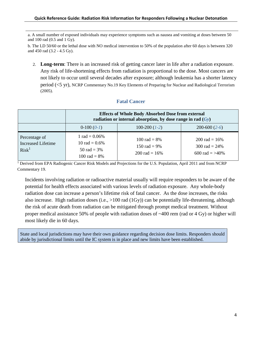a. A small number of exposed individuals may experience symptoms such as nausea and vomiting at doses between 50 and 100 rad (0.5 and 1 Gy).

b. The LD 50/60 or the lethal dose with NO medical intervention to 50% of the population after 60 days is between 320 and 450 rad (3.2 - 4.5 Gy).

2. **Long-term**: There is an increased risk of getting cancer later in life after a radiation exposure. Any risk of life-shortening effects from radiation is proportional to the dose. Most cancers are not likely to occur until several decades after exposure; although leukemia has a shorter latency period (<5 yr), NCRP Commentary No.19 Key Elements of Preparing for Nuclear and Radiological Terrorism (2005).

#### **Fatal Cancer**

|                                                                 | <b>Effects of Whole Body Absorbed Dose from external</b><br>radiation or internal absorption, by dose range in rad $(Gy)$ |                                                                |                                                                       |  |
|-----------------------------------------------------------------|---------------------------------------------------------------------------------------------------------------------------|----------------------------------------------------------------|-----------------------------------------------------------------------|--|
|                                                                 | $0-100(0-1)$                                                                                                              | $100-200$ $(1-2)$                                              | $200-600(2-6)$                                                        |  |
| Percentage of<br><b>Increased Lifetime</b><br>Risk <sup>1</sup> | 1 rad = $0.06\%$<br>10 rad = $0.6\%$<br>50 rad = $3\%$<br>100 rad = $8\%$                                                 | 100 rad = $8\%$<br>150 rad = $9\%$<br>$200 \text{ rad} = 16\%$ | $200 \text{ rad} = 16\%$<br>300 rad = $24\%$<br>600 rad $\equiv$ >40% |  |

<sup>1</sup> Derived from EPA Radiogenic Cancer Risk Models and Projections for the U.S. Population, April 2011 and from NCRP Commentary 19.

Incidents involving radiation or radioactive material usually will require responders to be aware of the potential for health effects associated with various levels of radiation exposure. Any whole-body radiation dose can increase a person's lifetime risk of fatal cancer. As the dose increases, the risks also increase. High radiation doses (i.e.,  $>100$  rad (1Gy)) can be potentially life-threatening, although the risk of acute death from radiation can be mitigated through prompt medical treatment. Without proper medical assistance 50% of people with radiation doses of ~400 rem (rad or 4 Gy) or higher will most likely die in 60 days.

State and local jurisdictions may have their own guidance regarding decision dose limits. Responders should abide by jurisdictional limits until the IC system is in place and new limits have been established.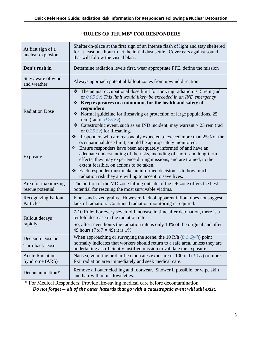| At first sign of a<br>nuclear explosion  | Shelter-in-place at the first sign of an intense flash of light and stay sheltered<br>for at least one hour to let the initial dust settle. Cover ears against sound<br>that will follow the visual blast.                                                                                                                                                                                                                                                                                                                                                  |  |  |
|------------------------------------------|-------------------------------------------------------------------------------------------------------------------------------------------------------------------------------------------------------------------------------------------------------------------------------------------------------------------------------------------------------------------------------------------------------------------------------------------------------------------------------------------------------------------------------------------------------------|--|--|
| Don't rush in                            | Determine radiation levels first, wear appropriate PPE, define the mission                                                                                                                                                                                                                                                                                                                                                                                                                                                                                  |  |  |
| Stay aware of wind<br>and weather        | Always approach potential fallout zones from upwind direction                                                                                                                                                                                                                                                                                                                                                                                                                                                                                               |  |  |
| <b>Radiation Dose</b>                    | The annual occupational dose limit for ionizing radiation is 5 rem (rad<br>❖<br>or $0.05$ Sv) This limit would likely be exceeded in an IND emergency<br>Keep exposures to a minimum, for the health and safety of<br>❖<br>responders<br>$\bullet$ Normal guideline for lifesaving or protection of large populations, 25<br>rem (rad or $0.25 Sv$ )<br>• Catastrophic event, such as an IND incident, may warrant > 25 rem (rad<br>or $0.25 Sv$ for lifesaving.                                                                                            |  |  |
| Exposure                                 | Responders who are reasonably expected to exceed more than 25% of the<br>❖<br>occupational dose limit, should be appropriately monitored.<br>Ensure responders have been adequately informed of and have an<br>❖<br>adequate understanding of the risks, including of short- and long-term<br>effects, they may experience during missions, and are trained, to the<br>extent feasible, on actions to be taken.<br>$\triangleleft$ Each responder must make an informed decision as to how much<br>radiation risk they are willing to accept to save lives. |  |  |
| Area for maximizing<br>rescue potential  | The portion of the MD zone falling outside of the DF zone offers the best<br>potential for rescuing the most survivable victims.                                                                                                                                                                                                                                                                                                                                                                                                                            |  |  |
| <b>Recognizing Fallout</b><br>Particles  | Fine, sand-sized grains. However, lack of apparent fallout does not suggest<br>lack of radiation. Continued radiation monitoring is required.                                                                                                                                                                                                                                                                                                                                                                                                               |  |  |
| Fallout decays<br>rapidly                | 7-10 Rule: For every sevenfold increase in time after detonation, there is a<br>tenfold decrease in the radiation rate.<br>So, after seven hours the radiation rate is only 10% of the original and after<br>49 hours $(7 \times 7 = 49)$ it is 1%.                                                                                                                                                                                                                                                                                                         |  |  |
| Decision Dose or<br>Turn-back Dose       | When approaching or surveying the scene, the 10 R/h $(0.1 \text{ Gy/h})$ point<br>normally indicates that workers should return to a safe area, unless they are<br>undertaking a sufficiently justified mission to validate the exposure.                                                                                                                                                                                                                                                                                                                   |  |  |
| <b>Acute Radiation</b><br>Syndrome (ARS) | Nausea, vomiting or diarrhea indicates exposure of 100 rad $(1\ Gy)$ or more.<br>Exit radiation area immediately and seek medical care.                                                                                                                                                                                                                                                                                                                                                                                                                     |  |  |
| Decontamination*                         | Remove all outer clothing and footwear. Shower if possible, or wipe skin<br>and hair with moist towelettes.                                                                                                                                                                                                                                                                                                                                                                                                                                                 |  |  |

## **"RULES OF THUMB" FOR RESPONDERS**

**\*** For Medical Responders: Provide life-saving medical care before decontamination. *Do not forget -- all of the other hazards that go with a catastrophic event will still exist.*